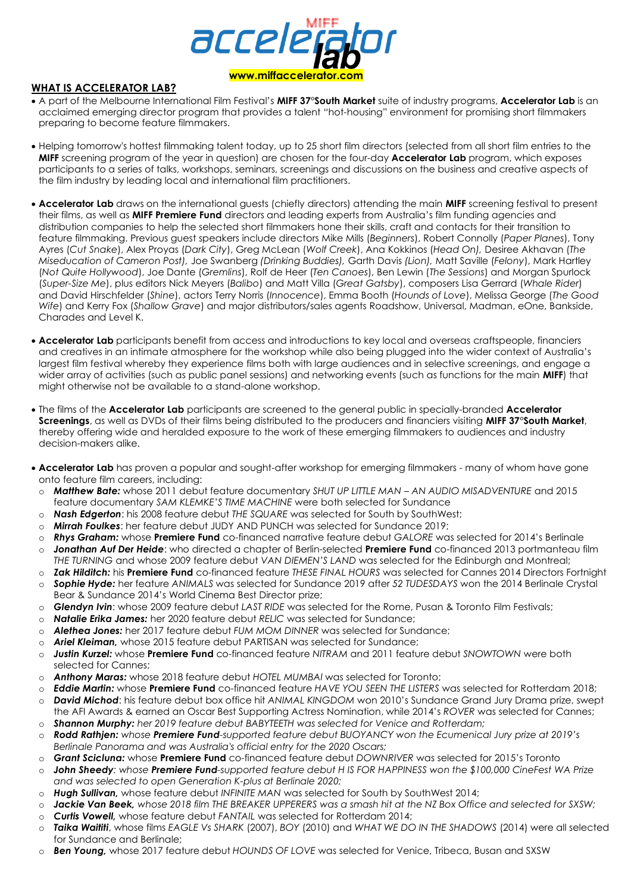

#### **WHAT IS ACCELERATOR LAB?**

- A part of the Melbourne International Film Festival's **MIFF 37°South Market** suite of industry programs, **Accelerator Lab** is an acclaimed emerging director program that provides a talent "hot-housing" environment for promising short filmmakers preparing to become feature filmmakers.
- Helping tomorrow's hottest filmmaking talent today, up to 25 short film directors (selected from all short film entries to the **MIFF** screening program of the year in question) are chosen for the four-day **Accelerator Lab** program, which exposes participants to a series of talks, workshops, seminars, screenings and discussions on the business and creative aspects of the film industry by leading local and international film practitioners.
- **Accelerator Lab** draws on the international guests (chiefly directors) attending the main **MIFF** screening festival to present their films, as well as **MIFF Premiere Fund** directors and leading experts from Australia's film funding agencies and distribution companies to help the selected short filmmakers hone their skills, craft and contacts for their transition to feature filmmaking. Previous guest speakers include directors Mike Mills (*Beginners*), Robert Connolly (*Paper Planes*), Tony Ayres (*Cut Snake*), Alex Proyas (*Dark City*), Greg McLean (*Wolf Creek*), Ana Kokkinos (*Head On),* Desiree Akhavan (*The Miseducation of Cameron Post),* Joe Swanberg *(Drinking Buddies),* Garth Davis *(Lion),* Matt Saville (*Felony*), Mark Hartley (*Not Quite Hollywood*), Joe Dante (*Gremlins*), Rolf de Heer (*Ten Canoes*), Ben Lewin (*The Sessions*) and Morgan Spurlock (*Super-Size Me*), plus editors Nick Meyers (*Balibo*) and Matt Villa (*Great Gatsby*), composers Lisa Gerrard (*Whale Rider*) and David Hirschfelder (*Shine*), actors Terry Norris (*Innocence*), Emma Booth (*Hounds of Love*), Melissa George (*The Good Wife*) and Kerry Fox (*Shallow Grave*) and major distributors/sales agents Roadshow, Universal, Madman, eOne, Bankside, Charades and Level K.
- **Accelerator Lab** participants benefit from access and introductions to key local and overseas craftspeople, financiers and creatives in an intimate atmosphere for the workshop while also being plugged into the wider context of Australia's largest film festival whereby they experience films both with large audiences and in selective screenings, and engage a wider array of activities (such as public panel sessions) and networking events (such as functions for the main **MIFF**) that might otherwise not be available to a stand-alone workshop.
- The films of the **Accelerator Lab** participants are screened to the general public in specially-branded **Accelerator Screenings**, as well as DVDs of their films being distributed to the producers and financiers visiting **MIFF 37**°**South Market**, thereby offering wide and heralded exposure to the work of these emerging filmmakers to audiences and industry decision-makers alike.
- **Accelerator Lab** has proven a popular and sought-after workshop for emerging filmmakers many of whom have gone onto feature film careers, including:
- o *Matthew Bate:* whose 2011 debut feature documentary *SHUT UP LITTLE MAN – AN AUDIO MISADVENTURE* and 2015 feature documentary *SAM KLEMKE'S TIME MACHINE* were both selected for Sundance
- o *Nash Edgerton*: his 2008 feature debut *THE SQUARE* was selected for South by SouthWest;
- o *Mirrah Foulkes*: her feature debut JUDY AND PUNCH was selected for Sundance 2019;
- o *Rhys Graham:* whose **Premiere Fund** co-financed narrative feature debut *GALORE* was selected for 2014's Berlinale
- o *Jonathan Auf Der Heide*: who directed a chapter of Berlin-selected **Premiere Fund** co-financed 2013 portmanteau film *THE TURNING* and whose 2009 feature debut *VAN DIEMEN'S LAND* was selected for the Edinburgh and Montreal;
- o *Zak Hilditch:* his **Premiere Fund** co-financed feature *THESE FINAL HOURS* was selected for Cannes 2014 Directors Fortnight o *Sophie Hyde:* her feature *ANIMALS* was selected for Sundance 2019 after *52 TUDESDAYS* won the 2014 Berlinale Crystal Bear & Sundance 2014's World Cinema Best Director prize;
- o *Glendyn Ivin*: whose 2009 feature debut *LAST RIDE* was selected for the Rome, Pusan & Toronto Film Festivals;
- o *Natalie Erika James:* her 2020 feature debut *RELIC* was selected for Sundance;
- o *Alethea Jones:* her 2017 feature debut *FUM MOM DINNER* was selected for Sundance;
- o *Ariel Kleiman,* whose 2015 feature debut PARTISAN was selected for Sundance;
- o *Justin Kurzel:* whose **Premiere Fund** co-financed feature *NITRAM* and 2011 feature debut *SNOWTOWN* were both selected for Cannes;
- o *Anthony Maras:* whose 2018 feature debut *HOTEL MUMBAI* was selected for Toronto;
- o *Eddie Martin:* whose **Premiere Fund** co-financed feature *HAVE YOU SEEN THE LISTERS* was selected for Rotterdam 2018;
- David Michod: his feature debut box office hit *ANIMAL KINGDOM* won 2010's Sundance Grand Jury Drama prize, swept the AFI Awards & earned an Oscar Best Supporting Actress Nomination, while 2014's *ROVER* was selected for Cannes; o *Shannon Murphy: her 2019 feature debut BABYTEETH was selected for Venice and Rotterdam;*
- o *Rodd Rathjen: whose Premiere Fund-supported feature debut BUOYANCY won the Ecumenical Jury prize at 2019's Berlinale Panorama and was Australia's official entry for the 2020 Oscars;*
- o *Grant Scicluna:* whose **Premiere Fund** co-financed feature debut *DOWNRIVER* was selected for 2015's Toronto
- o *John Sheedy: whose Premiere Fund-supported feature debut H IS FOR HAPPINESS won the \$100,000 CineFest WA Prize and was selected to open Generation K-plus at Berlinale 2020;*
- o *Hugh Sullivan,* whose feature debut *INFINITE MAN* was selected for South by SouthWest 2014;
- o *Jackie Van Beek, whose 2018 film THE BREAKER UPPERERS was a smash hit at the NZ Box Office and selected for SXSW;*
- o *Curtis Vowell,* whose feature debut *FANTAIL* was selected for Rotterdam 2014;
- o *Taika Waititi*, whose films *EAGLE Vs SHARK* (2007), *BOY* (2010) and *WHAT WE DO IN THE SHADOWS* (2014) were all selected for Sundance and Berlinale;
- o *Ben Young,* whose 2017 feature debut *HOUNDS OF LOVE* was selected for Venice, Tribeca, Busan and SXSW